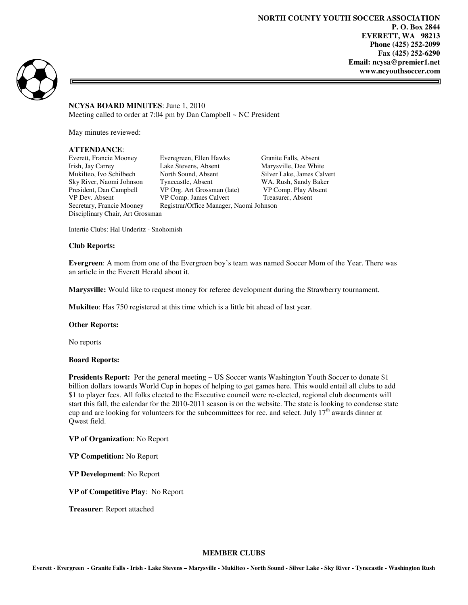ᆿ



**NCYSA BOARD MINUTES**: June 1, 2010 Meeting called to order at  $7:04$  pm by Dan Campbell  $\sim$  NC President

May minutes reviewed:

## **ATTENDANCE**:

Disciplinary Chair, Art Grossman

Everett, Francie Mooney Everegreen, Ellen Hawks Granite Falls, Absent Irish, Jay Carrey Lake Stevens, Absent Marysville, Dee White Mukilteo, Ivo Schilbech North Sound, Absent Silver Lake, James Calvert Sky River, Naomi Johnson Tynecastle, Absent WA. Rush, Sandy Baker<br>President, Dan Campbell VP Org. Art Grossman (late) VP Comp. Play Absent President, Dan Campbell VP Org. Art Grossman (late) VP Comp. Play Absent VP Dev. Absent VP Comp. James Calvert Treasurer, Absent VP Comp. James Calvert Secretary, Francie Mooney Registrar/Office Manager, Naomi Johnson

Intertie Clubs: Hal Underitz - Snohomish

## **Club Reports:**

**Evergreen**: A mom from one of the Evergreen boy's team was named Soccer Mom of the Year. There was an article in the Everett Herald about it.

**Marysville:** Would like to request money for referee development during the Strawberry tournament.

**Mukilteo**: Has 750 registered at this time which is a little bit ahead of last year.

#### **Other Reports:**

No reports

### **Board Reports:**

**Presidents Report:** Per the general meeting ~ US Soccer wants Washington Youth Soccer to donate \$1 billion dollars towards World Cup in hopes of helping to get games here. This would entail all clubs to add \$1 to player fees. All folks elected to the Executive council were re-elected, regional club documents will start this fall, the calendar for the 2010-2011 season is on the website. The state is looking to condense state cup and are looking for volunteers for the subcommittees for rec. and select. July  $17<sup>th</sup>$  awards dinner at Qwest field.

**VP of Organization**: No Report

**VP Competition:** No Report

**VP Development**: No Report

**VP of Competitive Play**: No Report

**Treasurer**: Report attached

#### **MEMBER CLUBS**